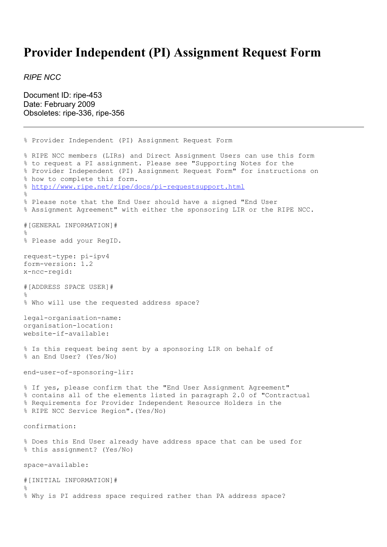## **Provider Independent (PI) Assignment Request Form**

*RIPE NCC*

Document ID: ripe-453 Date: February 2009 Obsoletes: ripe-336, ripe-356

```
% Provider Independent (PI) Assignment Request Form
% RIPE NCC members (LIRs) and Direct Assignment Users can use this form
% to request a PI assignment. Please see "Supporting Notes for the
% Provider Independent (PI) Assignment Request Form" for instructions on
% how to complete this form.
% http://www.ripe.net/ripe/docs/pi-requestsupport.html
\overline{2}% Please note that the End User should have a signed "End User
% Assignment Agreement" with either the sponsoring LIR or the RIPE NCC.
#[GENERAL INFORMATION]#
%
% Please add your RegID.
request-type: pi-ipv4
form-version: 1.2
x-ncc-regid:
#[ADDRESS SPACE USER]#
\approx% Who will use the requested address space?
legal-organisation-name:
organisation-location:
website-if-available:
% Is this request being sent by a sponsoring LIR on behalf of
% an End User? (Yes/No)
end-user-of-sponsoring-lir:
% If yes, please confirm that the "End User Assignment Agreement"
% contains all of the elements listed in paragraph 2.0 of "Contractual
% Requirements for Provider Independent Resource Holders in the
% RIPE NCC Service Region".(Yes/No)
confirmation:
% Does this End User already have address space that can be used for
% this assignment? (Yes/No)
space-available:
#[INITIAL INFORMATION]#
%
% Why is PI address space required rather than PA address space?
```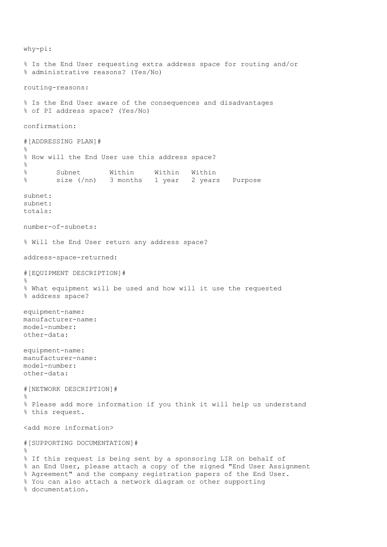why-pi: % Is the End User requesting extra address space for routing and/or % administrative reasons? (Yes/No) routing-reasons: % Is the End User aware of the consequences and disadvantages % of PI address space? (Yes/No) confirmation: #[ADDRESSING PLAN]# % % How will the End User use this address space? % % Subnet Within Within Within % size (/nn) 3 months 1 year 2 years Purpose subnet: subnet: totals: number-of-subnets: % Will the End User return any address space? address-space-returned: #[EQUIPMENT DESCRIPTION]# % % What equipment will be used and how will it use the requested % address space? equipment-name: manufacturer-name: model-number: other-data: equipment-name: manufacturer-name: model-number: other-data: #[NETWORK DESCRIPTION]#  $\mathfrak{L}$ % Please add more information if you think it will help us understand % this request. <add more information> #[SUPPORTING DOCUMENTATION]#  $\approx$ % If this request is being sent by a sponsoring LIR on behalf of % an End User, please attach a copy of the signed "End User Assignment % Agreement" and the company registration papers of the End User. % You can also attach a network diagram or other supporting % documentation.